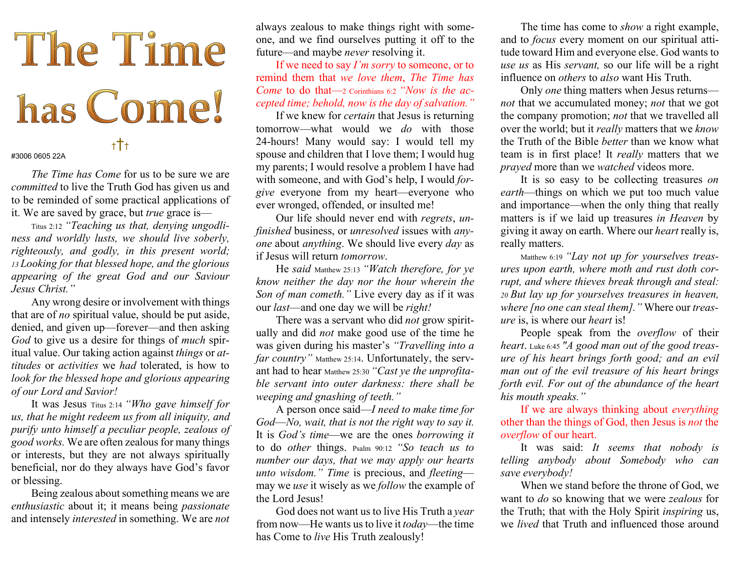## The Time has Come! †††

#3006 0605 22A

The Time has Come for us to be sure we are committed to live the Truth God has given us and to be reminded of some practical applications of it. We are saved by grace, but true grace is—

Titus 2:12 "Teaching us that, denying ungodliness and worldly lusts, we should live soberly, righteously, and godly, in this present world; 13 Looking for that blessed hope, and the glorious appearing of the great God and our Saviour Jesus Christ."

 Any wrong desire or involvement with things that are of no spiritual value, should be put aside, denied, and given up—forever—and then asking God to give us a desire for things of much spiritual value. Our taking action against things or attitudes or activities we had tolerated, is how to look for the blessed hope and glorious appearing of our Lord and Savior!

 It was Jesus Titus 2:14 "Who gave himself for us, that he might redeem us from all iniquity, and purify unto himself a peculiar people, zealous of good works. We are often zealous for many things or interests, but they are not always spiritually beneficial, nor do they always have God's favor or blessing.

 Being zealous about something means we are enthusiastic about it; it means being passionate and intensely interested in something. We are not

always zealous to make things right with someone, and we find ourselves putting it off to the future—and maybe never resolving it.

If we need to say  $I'm$  sorry to someone, or to remind them that we love them, The Time has Come to do that—2 Corinthians 6:2 "Now is the accepted time; behold, now is the day of salvation."

If we knew for *certain* that Jesus is returning tomorrow—what would we do with those 24-hours! Many would say: I would tell my spouse and children that I love them; I would hug my parents; I would resolve a problem I have had with someone, and with God's help, I would forgive everyone from my heart—everyone who ever wronged, offended, or insulted me!

Our life should never end with regrets, unfinished business, or unresolved issues with anyone about anything. We should live every day as if Jesus will return tomorrow.

He said Matthew 25:13 "Watch therefore, for ye know neither the day nor the hour wherein the Son of man cometh." Live every day as if it was our *last*—and one day we will be *right!* 

There was a servant who did *not* grow spiritually and did not make good use of the time he was given during his master's "Travelling into a far country" Matthew 25:14. Unfortunately, the servant had to hear Matthew 25:30 "Cast ye the unprofitable servant into outer darkness: there shall be weeping and gnashing of teeth."

A person once said—I need to make time for God—No, wait, that is not the right way to say it. It is God's time—we are the ones borrowing it to do other things. Psalm 90:12 "So teach us to number our days, that we may apply our hearts unto wisdom." Time is precious, and fleeting may we *use* it wisely as we *follow* the example of the Lord Jesus!

God does not want us to live His Truth a year from now—He wants us to live it today—the time has Come to live His Truth zealously!

The time has come to *show* a right example, and to focus every moment on our spiritual attitude toward Him and everyone else. God wants to use us as His servant, so our life will be a right influence on others to also want His Truth.

Only one thing matters when Jesus returns not that we accumulated money; not that we got the company promotion; not that we travelled all over the world; but it *really* matters that we know the Truth of the Bible better than we know what team is in first place! It really matters that we prayed more than we watched videos more.

It is so easy to be collecting treasures *on* earth—things on which we put too much value and importance—when the only thing that really matters is if we laid up treasures in Heaven by giving it away on earth. Where our heart really is, really matters.

Matthew 6:19 "Lay not up for yourselves treasures upon earth, where moth and rust doth corrupt, and where thieves break through and steal: <sup>20</sup>But lay up for yourselves treasures in heaven, where [no one can steal them]. "Where our treasure is, is where our heart is!

People speak from the overflow of their heart. Luke 6:45 "A good man out of the good treasure of his heart brings forth good; and an evil man out of the evil treasure of his heart brings forth evil. For out of the abundance of the heart his mouth speaks."

If we are always thinking about everything other than the things of God, then Jesus is not the overflow of our heart.

It was said: It seems that nobody is telling anybody about Somebody who can save everybody!

When we stand before the throne of God, we want to *do* so knowing that we were *zealous* for the Truth; that with the Holy Spirit inspiring us, we lived that Truth and influenced those around